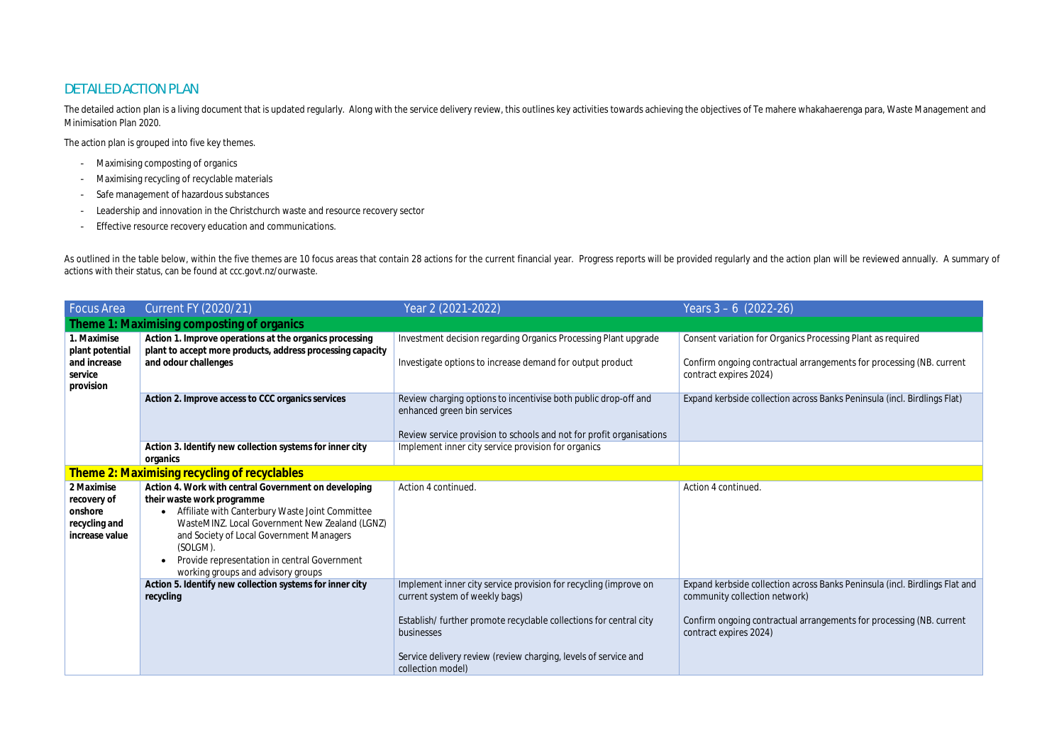## DETAILED ACTION PLAN

The detailed action plan is a living document that is updated regularly. Along with the service delivery review, this outlines key activities towards achieving the objectives of Te mahere whakahaerenga para, Waste Manageme Minimisation Plan 2020.

The action plan is grouped into five key themes.

As outlined in the table below, within the five themes are 10 focus areas that contain 28 actions for the current financial year. Progress reports will be provided regularly and the action plan will be reviewed annually. A actions with their status, can be found at ccc.govt.nz/ourwaste.

- Maximising composting of organics
- Maximising recycling of recyclable materials
- Safe management of hazardous substances
- Leadership and innovation in the Christchurch waste and resource recovery sector
- Effective resource recovery education and communications.

| <b>Focus Area</b>                                                       | <b>Current FY (2020/21)</b>                                                                                                                                                                                                                                                                                                           | Year 2 (2021-2022)                                                                                                                                                                                                                                                             | Years $3 - 6$ (2022-26)                                                                                                      |  |
|-------------------------------------------------------------------------|---------------------------------------------------------------------------------------------------------------------------------------------------------------------------------------------------------------------------------------------------------------------------------------------------------------------------------------|--------------------------------------------------------------------------------------------------------------------------------------------------------------------------------------------------------------------------------------------------------------------------------|------------------------------------------------------------------------------------------------------------------------------|--|
|                                                                         | Theme 1: Maximising composting of organics                                                                                                                                                                                                                                                                                            |                                                                                                                                                                                                                                                                                |                                                                                                                              |  |
| 1. Maximise<br>plant potential                                          | Action 1. Improve operations at the organics processing<br>plant to accept more products, address processing capacity<br>and odour challenges                                                                                                                                                                                         | Investment decision regarding Organics Processing Plant upgrade                                                                                                                                                                                                                | Consent variation for Organics                                                                                               |  |
| and increase<br>service<br>provision                                    |                                                                                                                                                                                                                                                                                                                                       | Investigate options to increase demand for output product                                                                                                                                                                                                                      | Confirm ongoing contractual ar<br>contract expires 2024)                                                                     |  |
|                                                                         | Action 2. Improve access to CCC organics services                                                                                                                                                                                                                                                                                     | Review charging options to incentivise both public drop-off and<br>enhanced green bin services                                                                                                                                                                                 | Expand kerbside collection acro                                                                                              |  |
|                                                                         |                                                                                                                                                                                                                                                                                                                                       | Review service provision to schools and not for profit organisations                                                                                                                                                                                                           |                                                                                                                              |  |
|                                                                         | Action 3. Identify new collection systems for inner city<br>organics                                                                                                                                                                                                                                                                  | Implement inner city service provision for organics                                                                                                                                                                                                                            |                                                                                                                              |  |
|                                                                         | Theme 2: Maximising recycling of recyclables                                                                                                                                                                                                                                                                                          |                                                                                                                                                                                                                                                                                |                                                                                                                              |  |
| 2 Maximise<br>recovery of<br>onshore<br>recycling and<br>increase value | Action 4. Work with central Government on developing<br>their waste work programme<br>Affiliate with Canterbury Waste Joint Committee<br>WasteMINZ. Local Government New Zealand (LGNZ)<br>and Society of Local Government Managers<br>(SOLGM).<br>Provide representation in central Government<br>working groups and advisory groups | Action 4 continued.                                                                                                                                                                                                                                                            | Action 4 continued.                                                                                                          |  |
|                                                                         | Action 5. Identify new collection systems for inner city<br>recycling                                                                                                                                                                                                                                                                 | Implement inner city service provision for recycling (improve on<br>current system of weekly bags)<br>Establish/ further promote recyclable collections for central city<br>businesses<br>Service delivery review (review charging, levels of service and<br>collection model) | Expand kerbside collection acro<br>community collection network)<br>Confirm ongoing contractual ar<br>contract expires 2024) |  |

cs Processing Plant as required

arrangements for processing (NB. current

Expand and kerbside consistents and the costs Banks Peninsula (incl. Birdlings Flat)

Expand and keral across Banks Peninsula (incl. Birdlings Flat and

arrangements for processing (NB. current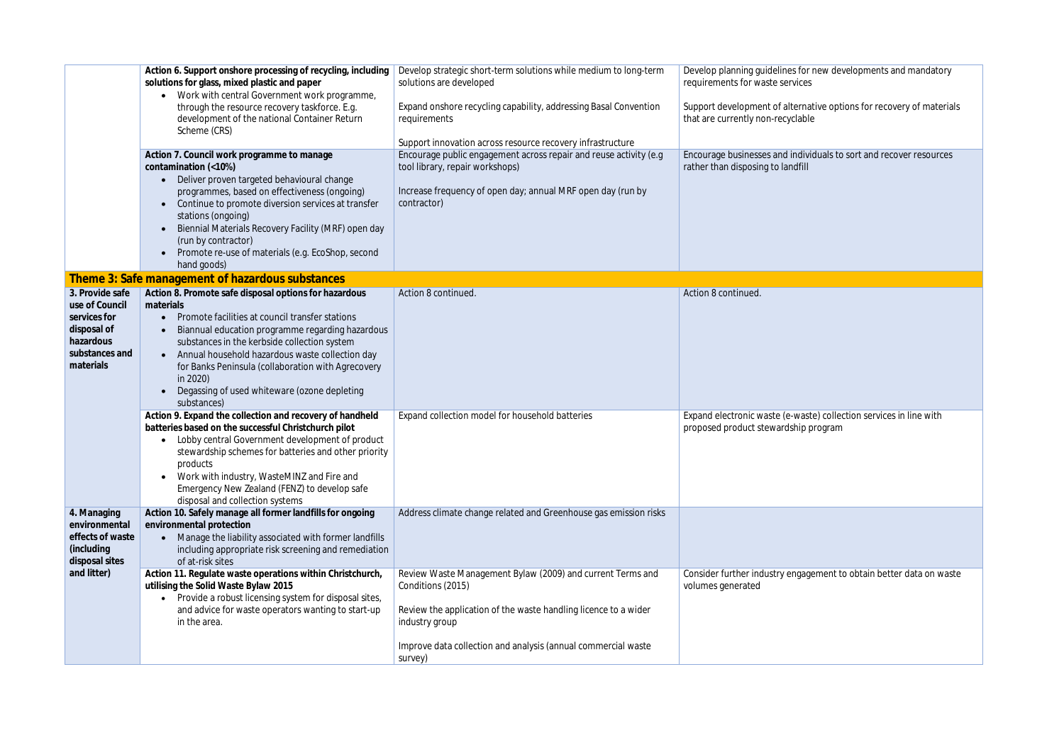Support development of alternative options for recovery of materials

dividuals to sort and recover resources

vaste) collection services in line with ip program

agement to obtain better data on waste

|  | Action 6. Support onshore processing of recycling, including<br>solutions for glass, mixed plastic and paper<br>Work with central Government work programme, |                                                                                                                                                                                                                                                                                                                                                                                                                            | Develop strategic short-term solutions while medium to long-term<br>solutions are developed                                                                                                                                           | Develop planning guidelines for r<br>requirements for waste services  |
|--|--------------------------------------------------------------------------------------------------------------------------------------------------------------|----------------------------------------------------------------------------------------------------------------------------------------------------------------------------------------------------------------------------------------------------------------------------------------------------------------------------------------------------------------------------------------------------------------------------|---------------------------------------------------------------------------------------------------------------------------------------------------------------------------------------------------------------------------------------|-----------------------------------------------------------------------|
|  |                                                                                                                                                              | through the resource recovery taskforce. E.g.<br>development of the national Container Return<br>Scheme (CRS)                                                                                                                                                                                                                                                                                                              | Expand onshore recycling capability, addressing Basal Convention<br>requirements                                                                                                                                                      | Support development of alternat<br>that are currently non-recyclable  |
|  |                                                                                                                                                              |                                                                                                                                                                                                                                                                                                                                                                                                                            | Support innovation across resource recovery infrastructure                                                                                                                                                                            |                                                                       |
|  |                                                                                                                                                              | Action 7. Council work programme to manage<br>contamination (<10%)<br>Deliver proven targeted behavioural change<br>$\bullet$<br>programmes, based on effectiveness (ongoing)<br>Continue to promote diversion services at transfer<br>stations (ongoing)<br>Biennial Materials Recovery Facility (MRF) open day<br>$\bullet$<br>(run by contractor)<br>Promote re-use of materials (e.g. EcoShop, second<br>hand goods)   | Encourage public engagement across repair and reuse activity (e.g<br>tool library, repair workshops)<br>Increase frequency of open day; annual MRF open day (run by<br>contractor)                                                    | Encourage businesses and individ<br>rather than disposing to landfill |
|  |                                                                                                                                                              | Theme 3: Safe management of hazardous substances                                                                                                                                                                                                                                                                                                                                                                           |                                                                                                                                                                                                                                       |                                                                       |
|  | 3. Provide safe<br>use of Council<br>services for<br>disposal of<br>hazardous<br>substances and<br>materials                                                 | Action 8. Promote safe disposal options for hazardous<br>materials<br>Promote facilities at council transfer stations<br>Biannual education programme regarding hazardous<br>$\bullet$<br>substances in the kerbside collection system<br>Annual household hazardous waste collection day<br>for Banks Peninsula (collaboration with Agrecovery<br>in 2020)<br>Degassing of used whiteware (ozone depleting<br>substances) | Action 8 continued.                                                                                                                                                                                                                   | Action 8 continued.                                                   |
|  |                                                                                                                                                              | Action 9. Expand the collection and recovery of handheld<br>batteries based on the successful Christchurch pilot<br>Lobby central Government development of product<br>stewardship schemes for batteries and other priority<br>products<br>Work with industry, WasteMINZ and Fire and<br>Emergency New Zealand (FENZ) to develop safe<br>disposal and collection systems                                                   | Expand collection model for household batteries                                                                                                                                                                                       | Expand electronic waste (e-waste<br>proposed product stewardship p    |
|  | 4. Managing<br>environmental<br>effects of waste<br>(including<br>disposal sites<br>and litter)                                                              | Action 10. Safely manage all former landfills for ongoing<br>environmental protection<br>Manage the liability associated with former landfills<br>including appropriate risk screening and remediation<br>of at-risk sites                                                                                                                                                                                                 | Address climate change related and Greenhouse gas emission risks                                                                                                                                                                      |                                                                       |
|  |                                                                                                                                                              | Action 11. Regulate waste operations within Christchurch,<br>utilising the Solid Waste Bylaw 2015<br>• Provide a robust licensing system for disposal sites,<br>and advice for waste operators wanting to start-up<br>in the area.                                                                                                                                                                                         | Review Waste Management Bylaw (2009) and current Terms and<br>Conditions (2015)<br>Review the application of the waste handling licence to a wider<br>industry group<br>Improve data collection and analysis (annual commercial waste | Consider further industry engage<br>volumes generated                 |
|  |                                                                                                                                                              |                                                                                                                                                                                                                                                                                                                                                                                                                            | survey)                                                                                                                                                                                                                               |                                                                       |

for new developments and mandatory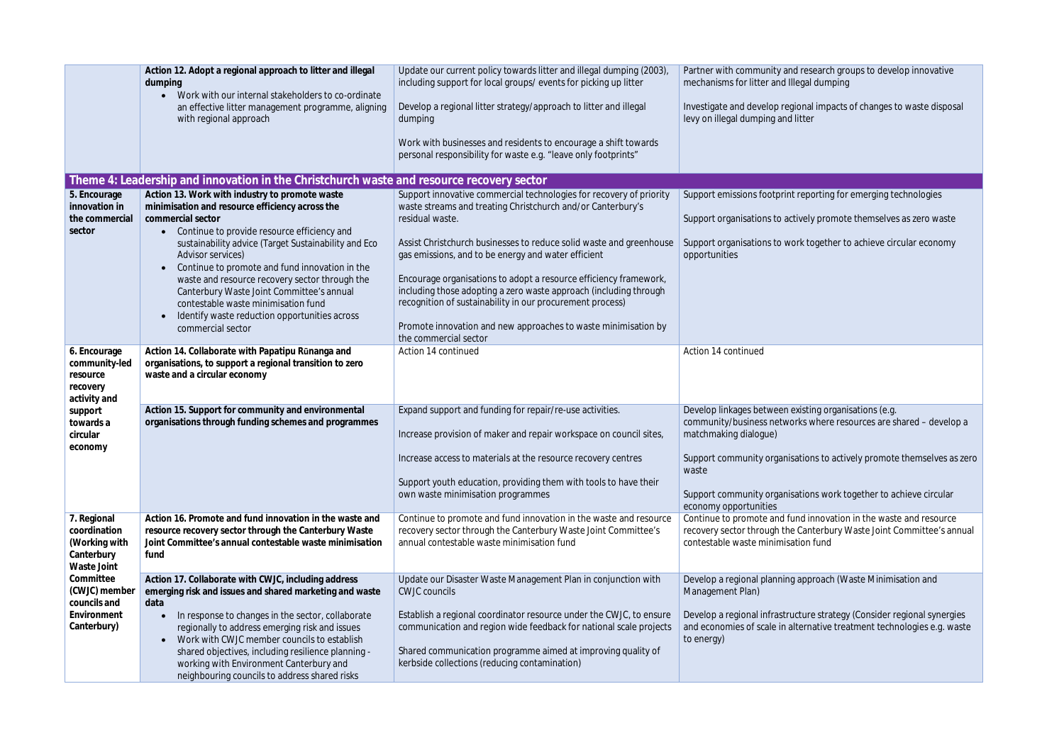|                                                                                                                                                       | Action 12. Adopt a regional approach to litter and illegal<br>dumping<br>Work with our internal stakeholders to co-ordinate<br>$\bullet$<br>an effective litter management programme, aligning<br>with regional approach                                                                                                                                                                                                                                                                                                      | Update our current policy towards litter and illegal dumping (2003),<br>including support for local groups/events for picking up litter<br>Develop a regional litter strategy/approach to litter and illegal<br>dumping<br>Work with businesses and residents to encourage a shift towards<br>personal responsibility for waste e.g. "leave only footprints"                                                                                                                                                                                                                          | Partner with community and res<br>mechanisms for litter and Illegal<br>Investigate and develop regional<br>levy on illegal dumping and litter                                                    |
|-------------------------------------------------------------------------------------------------------------------------------------------------------|-------------------------------------------------------------------------------------------------------------------------------------------------------------------------------------------------------------------------------------------------------------------------------------------------------------------------------------------------------------------------------------------------------------------------------------------------------------------------------------------------------------------------------|---------------------------------------------------------------------------------------------------------------------------------------------------------------------------------------------------------------------------------------------------------------------------------------------------------------------------------------------------------------------------------------------------------------------------------------------------------------------------------------------------------------------------------------------------------------------------------------|--------------------------------------------------------------------------------------------------------------------------------------------------------------------------------------------------|
|                                                                                                                                                       | Theme 4: Leadership and innovation in the Christchurch waste and resource recovery sector                                                                                                                                                                                                                                                                                                                                                                                                                                     |                                                                                                                                                                                                                                                                                                                                                                                                                                                                                                                                                                                       |                                                                                                                                                                                                  |
| 5. Encourage<br>innovation in<br>the commercial<br>sector                                                                                             | Action 13. Work with industry to promote waste<br>minimisation and resource efficiency across the<br>commercial sector<br>Continue to provide resource efficiency and<br>$\bullet$<br>sustainability advice (Target Sustainability and Eco<br>Advisor services)<br>Continue to promote and fund innovation in the<br>waste and resource recovery sector through the<br>Canterbury Waste Joint Committee's annual<br>contestable waste minimisation fund<br>Identify waste reduction opportunities across<br>commercial sector | Support innovative commercial technologies for recovery of priority<br>waste streams and treating Christchurch and/or Canterbury's<br>residual waste.<br>Assist Christchurch businesses to reduce solid waste and greenhouse<br>gas emissions, and to be energy and water efficient<br>Encourage organisations to adopt a resource efficiency framework,<br>including those adopting a zero waste approach (including through<br>recognition of sustainability in our procurement process)<br>Promote innovation and new approaches to waste minimisation by<br>the commercial sector | Support emissions footprint repo<br>Support organisations to actively<br>Support organisations to work to<br>opportunities                                                                       |
| 6. Encourage<br>community-led<br>resource<br>recovery<br>activity and<br>support<br>towards a<br>circular<br>economy                                  | Action 14. Collaborate with Papatipu Runanga and<br>organisations, to support a regional transition to zero<br>waste and a circular economy                                                                                                                                                                                                                                                                                                                                                                                   | Action 14 continued                                                                                                                                                                                                                                                                                                                                                                                                                                                                                                                                                                   | Action 14 continued                                                                                                                                                                              |
|                                                                                                                                                       | Action 15. Support for community and environmental<br>organisations through funding schemes and programmes                                                                                                                                                                                                                                                                                                                                                                                                                    | Expand support and funding for repair/re-use activities.<br>Increase provision of maker and repair workspace on council sites,<br>Increase access to materials at the resource recovery centres<br>Support youth education, providing them with tools to have their<br>own waste minimisation programmes                                                                                                                                                                                                                                                                              | Develop linkages between existir<br>community/business networks v<br>matchmaking dialogue)<br>Support community organisation<br>waste<br>Support community organisation<br>economy opportunities |
| 7. Regional<br>coordination<br>(Working with<br>Canterbury<br>Waste Joint<br>Committee<br>(CWJC) member<br>councils and<br>Environment<br>Canterbury) | Action 16. Promote and fund innovation in the waste and<br>resource recovery sector through the Canterbury Waste<br>Joint Committee's annual contestable waste minimisation<br>fund                                                                                                                                                                                                                                                                                                                                           | Continue to promote and fund innovation in the waste and resource<br>recovery sector through the Canterbury Waste Joint Committee's<br>annual contestable waste minimisation fund                                                                                                                                                                                                                                                                                                                                                                                                     | Continue to promote and fund in<br>recovery sector through the Can<br>contestable waste minimisation                                                                                             |
|                                                                                                                                                       | Action 17. Collaborate with CWJC, including address<br>emerging risk and issues and shared marketing and waste<br>data<br>In response to changes in the sector, collaborate<br>regionally to address emerging risk and issues<br>Work with CWJC member councils to establish<br>shared objectives, including resilience planning -<br>working with Environment Canterbury and<br>neighbouring councils to address shared risks                                                                                                | Update our Disaster Waste Management Plan in conjunction with<br><b>CWJC</b> councils<br>Establish a regional coordinator resource under the CWJC, to ensure<br>communication and region wide feedback for national scale projects<br>Shared communication programme aimed at improving quality of<br>kerbside collections (reducing contamination)                                                                                                                                                                                                                                   | Develop a regional planning appr<br>Management Plan)<br>Develop a regional infrastructure<br>and economies of scale in alterna<br>to energy)                                                     |

research groups to develop innovative gal dumping

inal impacts of changes to waste disposal

reporting for emerging technologies

vely promote themselves as zero waste

s together to achieve circular economy

isting organisations (e.g. ks where resources are shared – develop a

tions to actively promote themselves as zero

tions work together to achieve circular

Ind innovation in the waste and resource Canterbury Waste Joint Committee's annual ion fund

approach (Waste Minimisation and

Develop a regional infrastructure strategy (Consider regional synergies and economies of scale in alternative treatment technologies e.g. waste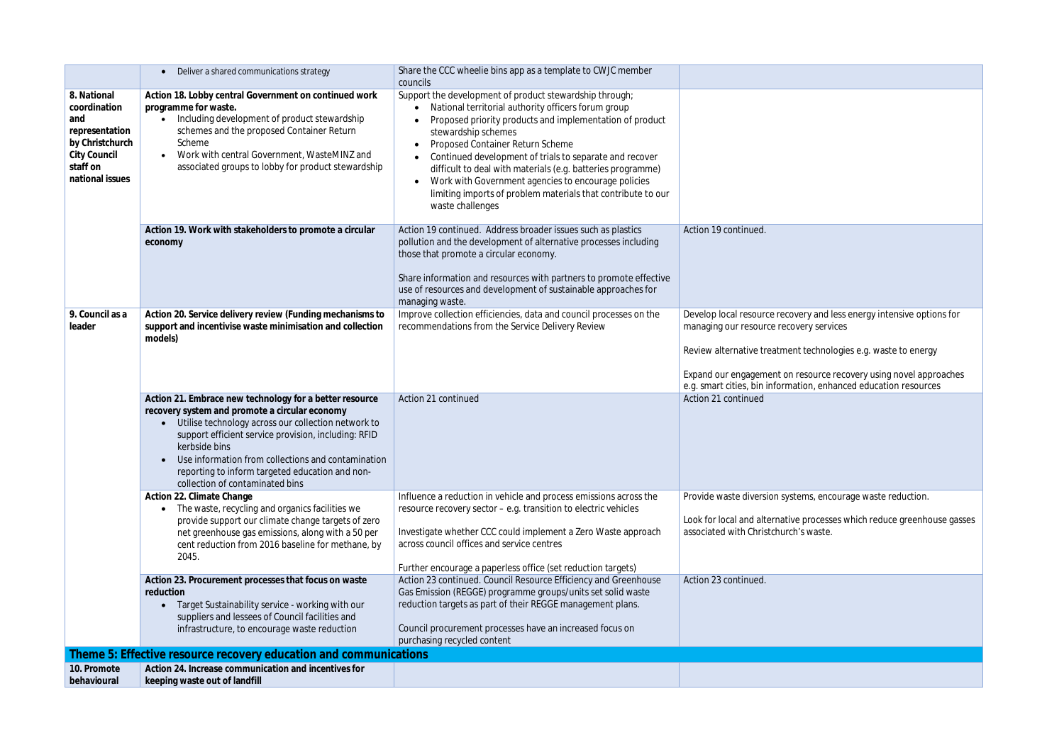|                                                                                                                        | Deliver a shared communications strategy                                                                                                                                                                                                                                                                                                                                              | Share the CCC wheelie bins app as a template to CWJC member<br>councils                                                                                                                                                                                                                                                                                                                                                                                                                                    |                                                                                                                                                               |
|------------------------------------------------------------------------------------------------------------------------|---------------------------------------------------------------------------------------------------------------------------------------------------------------------------------------------------------------------------------------------------------------------------------------------------------------------------------------------------------------------------------------|------------------------------------------------------------------------------------------------------------------------------------------------------------------------------------------------------------------------------------------------------------------------------------------------------------------------------------------------------------------------------------------------------------------------------------------------------------------------------------------------------------|---------------------------------------------------------------------------------------------------------------------------------------------------------------|
| 8. National<br>coordination<br>and<br>representation<br>by Christchurch<br>City Council<br>staff on<br>national issues | Action 18. Lobby central Government on continued work<br>programme for waste.<br>Including development of product stewardship<br>schemes and the proposed Container Return<br>Scheme<br>Work with central Government, WasteMINZ and<br>associated groups to lobby for product stewardship                                                                                             | Support the development of product stewardship through;<br>National territorial authority officers forum group<br>Proposed priority products and implementation of product<br>stewardship schemes<br>Proposed Container Return Scheme<br>Continued development of trials to separate and recover<br>difficult to deal with materials (e.g. batteries programme)<br>Work with Government agencies to encourage policies<br>limiting imports of problem materials that contribute to our<br>waste challenges |                                                                                                                                                               |
|                                                                                                                        | Action 19. Work with stakeholders to promote a circular<br>economy                                                                                                                                                                                                                                                                                                                    | Action 19 continued. Address broader issues such as plastics<br>pollution and the development of alternative processes including<br>those that promote a circular economy.<br>Share information and resources with partners to promote effective<br>use of resources and development of sustainable approaches for<br>managing waste.                                                                                                                                                                      | Action 19 continued.                                                                                                                                          |
| 9. Council as a<br>leader                                                                                              | Action 20. Service delivery review (Funding mechanisms to<br>support and incentivise waste minimisation and collection<br>models)                                                                                                                                                                                                                                                     | Improve collection efficiencies, data and council processes on the<br>recommendations from the Service Delivery Review                                                                                                                                                                                                                                                                                                                                                                                     | Develop local resource recove<br>managing our resource recov<br>Review alternative treatment<br>Expand our engagement on r<br>e.g. smart cities, bin informat |
|                                                                                                                        | Action 21. Embrace new technology for a better resource<br>recovery system and promote a circular economy<br>Utilise technology across our collection network to<br>support efficient service provision, including: RFID<br>kerbside bins<br>Use information from collections and contamination<br>reporting to inform targeted education and non-<br>collection of contaminated bins | Action 21 continued                                                                                                                                                                                                                                                                                                                                                                                                                                                                                        | Action 21 continued                                                                                                                                           |
|                                                                                                                        | Action 22. Climate Change<br>The waste, recycling and organics facilities we<br>$\bullet$<br>provide support our climate change targets of zero<br>net greenhouse gas emissions, along with a 50 per<br>cent reduction from 2016 baseline for methane, by<br>2045.                                                                                                                    | Influence a reduction in vehicle and process emissions across the<br>resource recovery sector - e.g. transition to electric vehicles<br>Investigate whether CCC could implement a Zero Waste approach<br>across council offices and service centres<br>Further encourage a paperless office (set reduction targets)                                                                                                                                                                                        | Provide waste diversion syste<br>Look for local and alternative<br>associated with Christchurch'                                                              |
|                                                                                                                        | Action 23. Procurement processes that focus on waste<br>reduction<br>Target Sustainability service - working with our<br>suppliers and lessees of Council facilities and<br>infrastructure, to encourage waste reduction                                                                                                                                                              | Action 23 continued. Council Resource Efficiency and Greenhouse<br>Gas Emission (REGGE) programme groups/units set solid waste<br>reduction targets as part of their REGGE management plans.<br>Council procurement processes have an increased focus on<br>purchasing recycled content                                                                                                                                                                                                                    | Action 23 continued.                                                                                                                                          |
| Theme 5: Effective resource recovery education and communications                                                      |                                                                                                                                                                                                                                                                                                                                                                                       |                                                                                                                                                                                                                                                                                                                                                                                                                                                                                                            |                                                                                                                                                               |
| 10. Promote<br>behavioural                                                                                             | Action 24. Increase communication and incentives for<br>keeping waste out of landfill                                                                                                                                                                                                                                                                                                 |                                                                                                                                                                                                                                                                                                                                                                                                                                                                                                            |                                                                                                                                                               |

very and less energy intensive options for very services

t technologies e.g. waste to energy

Expand our engagement on resource recovery using novel approaches e.g. smart cities, bin information, enhanced education resources

ems, encourage waste reduction.

: processes which reduce greenhouse gasses i's waste.